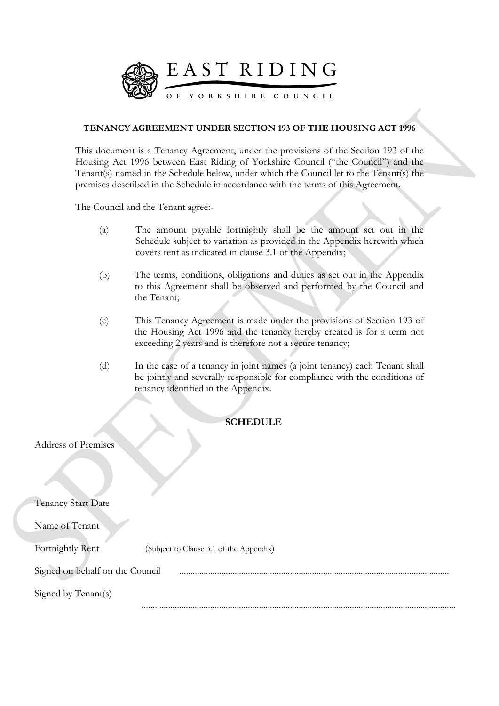

## **TENANCY AGREEMENT UNDER SECTION 193 OF THE HOUSING ACT 1996**

This document is a Tenancy Agreement, under the provisions of the Section 193 of the Housing Act 1996 between East Riding of Yorkshire Council ("the Council") and the Tenant(s) named in the Schedule below, under which the Council let to the Tenant(s) the premises described in the Schedule in accordance with the terms of this Agreement.

The Council and the Tenant agree:-

- (a) The amount payable fortnightly shall be the amount set out in the Schedule subject to variation as provided in the Appendix herewith which covers rent as indicated in clause 3.1 of the Appendix;
- (b) The terms, conditions, obligations and duties as set out in the Appendix to this Agreement shall be observed and performed by the Council and the Tenant;
- (c) This Tenancy Agreement is made under the provisions of Section 193 of the Housing Act 1996 and the tenancy hereby created is for a term not exceeding 2 years and is therefore not a secure tenancy;
- (d) In the case of a tenancy in joint names (a joint tenancy) each Tenant shall be jointly and severally responsible for compliance with the conditions of tenancy identified in the Appendix.

## **SCHEDULE**

#### Address of Premises

Tenancy Start Date

Name of Tenant

Fortnightly Rent (Subject to Clause 3.1 of the Appendix)

Signed on behalf on the Council Signed by Tenant(s)

..............................................................................................................................................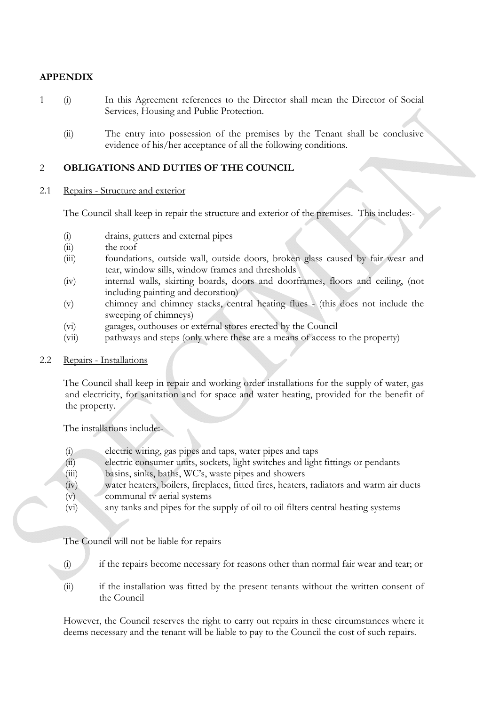# **APPENDIX**

- 1 (i) In this Agreement references to the Director shall mean the Director of Social Services, Housing and Public Protection.
	- (ii) The entry into possession of the premises by the Tenant shall be conclusive evidence of his/her acceptance of all the following conditions.

### 2 **OBLIGATIONS AND DUTIES OF THE COUNCIL**

#### 2.1 Repairs - Structure and exterior

The Council shall keep in repair the structure and exterior of the premises. This includes:-

- (i) drains, gutters and external pipes
- (ii) the roof
- (iii) foundations, outside wall, outside doors, broken glass caused by fair wear and tear, window sills, window frames and thresholds
- (iv) internal walls, skirting boards, doors and doorframes, floors and ceiling, (not including painting and decoration)
- (v) chimney and chimney stacks, central heating flues (this does not include the sweeping of chimneys)
- (vi) garages, outhouses or external stores erected by the Council
- (vii) pathways and steps (only where these are a means of access to the property)

#### 2.2 Repairs - Installations

The Council shall keep in repair and working order installations for the supply of water, gas and electricity, for sanitation and for space and water heating, provided for the benefit of the property.

The installations include:-

- (i) electric wiring, gas pipes and taps, water pipes and taps
- (ii) electric consumer units, sockets, light switches and light fittings or pendants
- (iii) basins, sinks, baths, WC's, waste pipes and showers
- (iv) water heaters, boilers, fireplaces, fitted fires, heaters, radiators and warm air ducts (v) communal tv aerial systems
- (vi) any tanks and pipes for the supply of oil to oil filters central heating systems

The Council will not be liable for repairs

- (i) if the repairs become necessary for reasons other than normal fair wear and tear; or
- (ii) if the installation was fitted by the present tenants without the written consent of the Council

However, the Council reserves the right to carry out repairs in these circumstances where it deems necessary and the tenant will be liable to pay to the Council the cost of such repairs.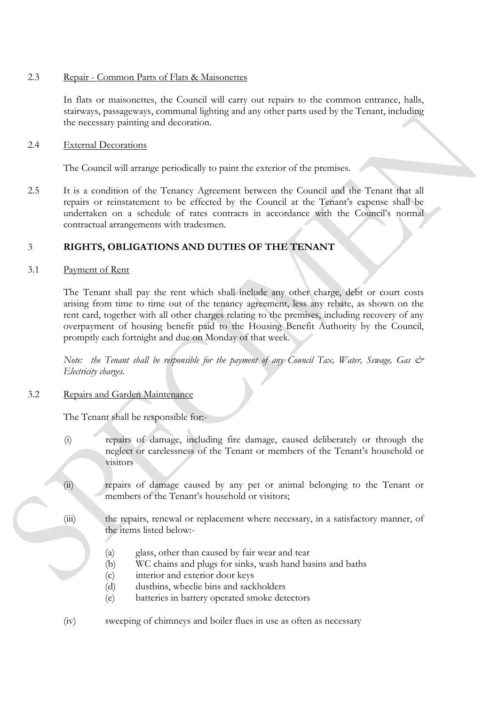## 2.3 Repair - Common Parts of Flats & Maisonettes

In flats or maisonettes, the Council will carry out repairs to the common entrance, halls, stairways, passageways, communal lighting and any other parts used by the Tenant, including the necessary painting and decoration.

#### 2.4 External Decorations

The Council will arrange periodically to paint the exterior of the premises.

2.5 It is a condition of the Tenancy Agreement between the Council and the Tenant that all repairs or reinstatement to be effected by the Council at the Tenant's expense shall be undertaken on a schedule of rates contracts in accordance with the Council's normal contractual arrangements with tradesmen.

## 3 **RIGHTS, OBLIGATIONS AND DUTIES OF THE TENANT**

#### 3.1 Payment of Rent

 The Tenant shall pay the rent which shall include any other charge, debt or court costs arising from time to time out of the tenancy agreement, less any rebate, as shown on the rent card, together with all other charges relating to the premises, including recovery of any overpayment of housing benefit paid to the Housing Benefit Authority by the Council, promptly each fortnight and due on Monday of that week.

*Note: the Tenant shall be responsible for the payment of any Council Tax, Water, Sewage, Gas & Electricity charges.*

## 3.2 Repairs and Garden Maintenance

The Tenant shall be responsible for:-

- (i) repairs of damage, including fire damage, caused deliberately or through the neglect or carelessness of the Tenant or members of the Tenant's household or visitors
- (ii) repairs of damage caused by any pet or animal belonging to the Tenant or members of the Tenant's household or visitors;
- (iii) the repairs, renewal or replacement where necessary, in a satisfactory manner, of the items listed below:-
	- (a) glass, other than caused by fair wear and tear
	- (b) WC chains and plugs for sinks, wash hand basins and baths
	- (c) interior and exterior door keys
	- (d) dustbins, wheelie bins and sackholders
	- (e) batteries in battery operated smoke detectors
- (iv) sweeping of chimneys and boiler flues in use as often as necessary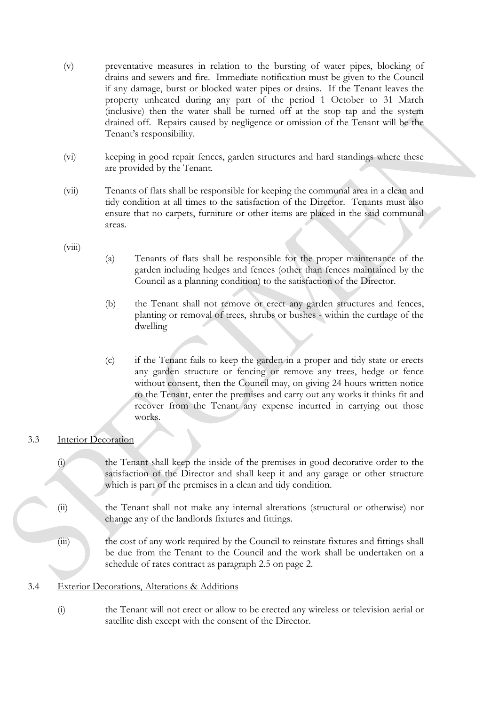- (v) preventative measures in relation to the bursting of water pipes, blocking of drains and sewers and fire. Immediate notification must be given to the Council if any damage, burst or blocked water pipes or drains. If the Tenant leaves the property unheated during any part of the period 1 October to 31 March (inclusive) then the water shall be turned off at the stop tap and the system drained off. Repairs caused by negligence or omission of the Tenant will be the Tenant's responsibility.
- (vi) keeping in good repair fences, garden structures and hard standings where these are provided by the Tenant.
- (vii) Tenants of flats shall be responsible for keeping the communal area in a clean and tidy condition at all times to the satisfaction of the Director. Tenants must also ensure that no carpets, furniture or other items are placed in the said communal areas.

 $(viii)$ 

- (a) Tenants of flats shall be responsible for the proper maintenance of the garden including hedges and fences (other than fences maintained by the Council as a planning condition) to the satisfaction of the Director.
- (b) the Tenant shall not remove or erect any garden structures and fences, planting or removal of trees, shrubs or bushes - within the curtlage of the dwelling
- (c) if the Tenant fails to keep the garden in a proper and tidy state or erects any garden structure or fencing or remove any trees, hedge or fence without consent, then the Council may, on giving 24 hours written notice to the Tenant, enter the premises and carry out any works it thinks fit and recover from the Tenant any expense incurred in carrying out those works.

# 3.3 Interior Decoration

 (i) the Tenant shall keep the inside of the premises in good decorative order to the satisfaction of the Director and shall keep it and any garage or other structure which is part of the premises in a clean and tidy condition.

 (ii) the Tenant shall not make any internal alterations (structural or otherwise) nor change any of the landlords fixtures and fittings.

 (iii) the cost of any work required by the Council to reinstate fixtures and fittings shall be due from the Tenant to the Council and the work shall be undertaken on a schedule of rates contract as paragraph 2.5 on page 2.

# 3.4 Exterior Decorations, Alterations & Additions

 (i) the Tenant will not erect or allow to be erected any wireless or television aerial or satellite dish except with the consent of the Director.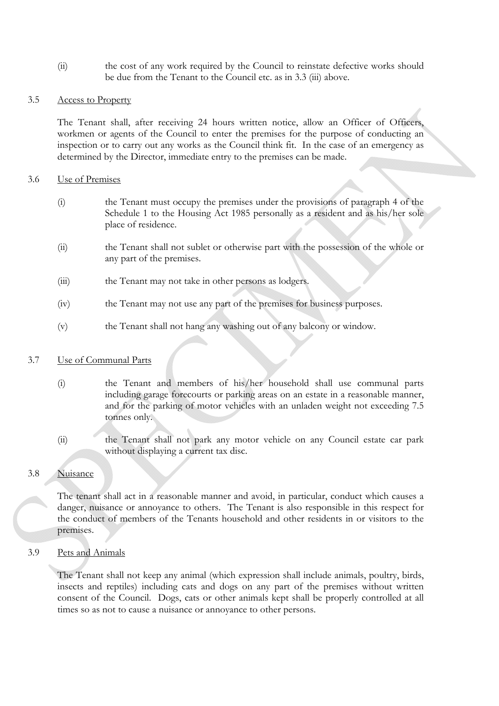(ii) the cost of any work required by the Council to reinstate defective works should be due from the Tenant to the Council etc. as in 3.3 (iii) above.

### 3.5 Access to Property

 The Tenant shall, after receiving 24 hours written notice, allow an Officer of Officers, workmen or agents of the Council to enter the premises for the purpose of conducting an inspection or to carry out any works as the Council think fit. In the case of an emergency as determined by the Director, immediate entry to the premises can be made.

#### 3.6 Use of Premises

- (i) the Tenant must occupy the premises under the provisions of paragraph 4 of the Schedule 1 to the Housing Act 1985 personally as a resident and as his/her sole place of residence.
- (ii) the Tenant shall not sublet or otherwise part with the possession of the whole or any part of the premises.
- (iii) the Tenant may not take in other persons as lodgers.
- (iv) the Tenant may not use any part of the premises for business purposes.
- (v) the Tenant shall not hang any washing out of any balcony or window.

## 3.7 Use of Communal Parts

 (i) the Tenant and members of his/her household shall use communal parts including garage forecourts or parking areas on an estate in a reasonable manner, and for the parking of motor vehicles with an unladen weight not exceeding 7.5 tonnes only.

 (ii) the Tenant shall not park any motor vehicle on any Council estate car park without displaying a current tax disc.

## 3.8 Nuisance

The tenant shall act in a reasonable manner and avoid, in particular, conduct which causes a danger, nuisance or annoyance to others. The Tenant is also responsible in this respect for the conduct of members of the Tenants household and other residents in or visitors to the premises.

3.9 Pets and Animals

 The Tenant shall not keep any animal (which expression shall include animals, poultry, birds, insects and reptiles) including cats and dogs on any part of the premises without written consent of the Council. Dogs, cats or other animals kept shall be properly controlled at all times so as not to cause a nuisance or annoyance to other persons.